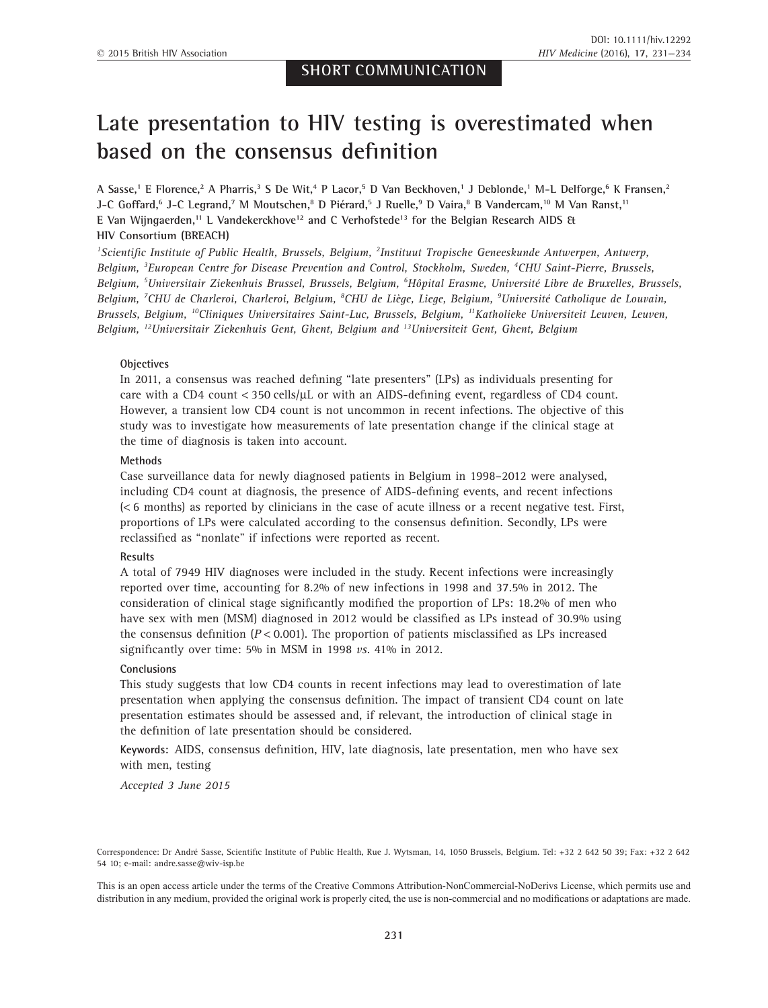# **Late presentation to HIV testing is overestimated when based on the consensus definition**

**A Sasse,1 E Florence,2 A Pharris,3 S De Wit,4 P Lacor,5 D Van Beckhoven,1 J Deblonde,1 M-L Delforge,6 K Fransen,2 J-C Goffard,6 J-C Legrand,7 M Moutschen,8 D Piérard,5 J Ruelle,9 D Vaira,8 B Vandercam,10 M Van Ranst,11 E Van Wijngaerden,11 L Vandekerckhove12 and C Verhofstede13 for the Belgian Research AIDS & HIV Consortium (BREACH)**

*1 Scientific Institute of Public Health, Brussels, Belgium, <sup>2</sup> Instituut Tropische Geneeskunde Antwerpen, Antwerp, Belgium, <sup>3</sup> European Centre for Disease Prevention and Control, Stockholm, Sweden, <sup>4</sup> CHU Saint-Pierre, Brussels, Belgium, <sup>5</sup> Universitair Ziekenhuis Brussel, Brussels, Belgium, <sup>6</sup> Hôpital Erasme, Université Libre de Bruxelles, Brussels, Belgium, <sup>7</sup> CHU de Charleroi, Charleroi, Belgium, <sup>8</sup> CHU de Liège, Liege, Belgium, <sup>9</sup> Université Catholique de Louvain, Brussels, Belgium, 10Cliniques Universitaires Saint-Luc, Brussels, Belgium, 11Katholieke Universiteit Leuven, Leuven, Belgium, 12Universitair Ziekenhuis Gent, Ghent, Belgium and 13Universiteit Gent, Ghent, Belgium*

#### **Objectives**

In 2011, a consensus was reached defining "late presenters" (LPs) as individuals presenting for care with a CD4 count  $\lt$  350 cells/ $\mu$ L or with an AIDS-defining event, regardless of CD4 count. However, a transient low CD4 count is not uncommon in recent infections. The objective of this study was to investigate how measurements of late presentation change if the clinical stage at the time of diagnosis is taken into account.

#### **Methods**

Case surveillance data for newly diagnosed patients in Belgium in 1998–2012 were analysed, including CD4 count at diagnosis, the presence of AIDS-defining events, and recent infections (< 6 months) as reported by clinicians in the case of acute illness or a recent negative test. First, proportions of LPs were calculated according to the consensus definition. Secondly, LPs were reclassified as "nonlate" if infections were reported as recent.

#### **Results**

A total of 7949 HIV diagnoses were included in the study. Recent infections were increasingly reported over time, accounting for 8.2% of new infections in 1998 and 37.5% in 2012. The consideration of clinical stage significantly modified the proportion of LPs: 18.2% of men who have sex with men (MSM) diagnosed in 2012 would be classified as LPs instead of 30.9% using the consensus definition  $(P < 0.001)$ . The proportion of patients misclassified as LPs increased significantly over time: 5% in MSM in 1998 *vs*. 41% in 2012.

#### **Conclusions**

This study suggests that low CD4 counts in recent infections may lead to overestimation of late presentation when applying the consensus definition. The impact of transient CD4 count on late presentation estimates should be assessed and, if relevant, the introduction of clinical stage in the definition of late presentation should be considered.

**Keywords:** AIDS, consensus definition, HIV, late diagnosis, late presentation, men who have sex with men, testing

*Accepted 3 June 2015*

Correspondence: Dr André Sasse, Scientific Institute of Public Health, Rue J. Wytsman, 14, 1050 Brussels, Belgium. Tel: +32 2 642 50 39; Fax: +32 2 642 54 10; e-mail: andre.sasse@wiv-isp.be

This is an open access article under the terms of the Creative Commons Attribution-NonCommercial-NoDerivs License, which permits use and distribution in any medium, provided the original work is properly cited, the use is non-commercial and no modifications or adaptations are made.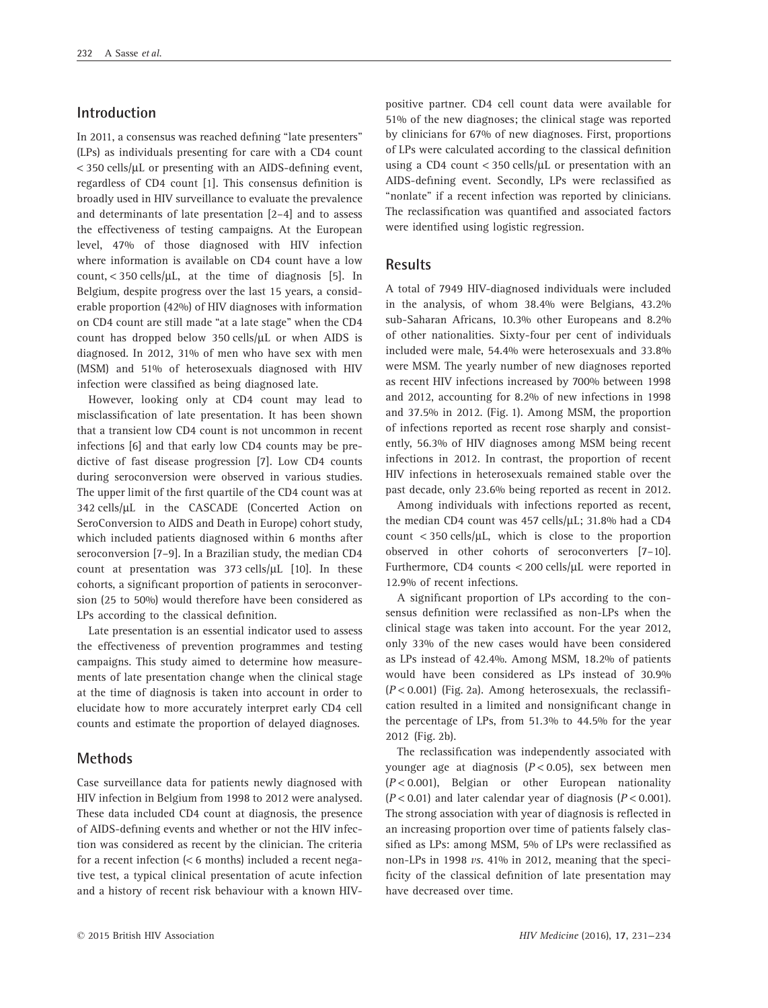## **Introduction**

In 2011, a consensus was reached defining "late presenters" (LPs) as individuals presenting for care with a CD4 count < 350 cells/μL or presenting with an AIDS-defining event, regardless of CD4 count [1]. This consensus definition is broadly used in HIV surveillance to evaluate the prevalence and determinants of late presentation [2–4] and to assess the effectiveness of testing campaigns. At the European level, 47% of those diagnosed with HIV infection where information is available on CD4 count have a low count, < 350 cells/μL, at the time of diagnosis [5]. In Belgium, despite progress over the last 15 years, a considerable proportion (42%) of HIV diagnoses with information on CD4 count are still made "at a late stage" when the CD4 count has dropped below 350 cells/μL or when AIDS is diagnosed. In 2012, 31% of men who have sex with men (MSM) and 51% of heterosexuals diagnosed with HIV infection were classified as being diagnosed late.

However, looking only at CD4 count may lead to misclassification of late presentation. It has been shown that a transient low CD4 count is not uncommon in recent infections [6] and that early low CD4 counts may be predictive of fast disease progression [7]. Low CD4 counts during seroconversion were observed in various studies. The upper limit of the first quartile of the CD4 count was at 342 cells/μL in the CASCADE (Concerted Action on SeroConversion to AIDS and Death in Europe) cohort study, which included patients diagnosed within 6 months after seroconversion [7–9]. In a Brazilian study, the median CD4 count at presentation was 373 cells/μL [10]. In these cohorts, a significant proportion of patients in seroconversion (25 to 50%) would therefore have been considered as LPs according to the classical definition.

Late presentation is an essential indicator used to assess the effectiveness of prevention programmes and testing campaigns. This study aimed to determine how measurements of late presentation change when the clinical stage at the time of diagnosis is taken into account in order to elucidate how to more accurately interpret early CD4 cell counts and estimate the proportion of delayed diagnoses.

### **Methods**

Case surveillance data for patients newly diagnosed with HIV infection in Belgium from 1998 to 2012 were analysed. These data included CD4 count at diagnosis, the presence of AIDS-defining events and whether or not the HIV infection was considered as recent by the clinician. The criteria for a recent infection (< 6 months) included a recent negative test, a typical clinical presentation of acute infection and a history of recent risk behaviour with a known HIV-

positive partner. CD4 cell count data were available for 51% of the new diagnoses; the clinical stage was reported by clinicians for 67% of new diagnoses. First, proportions of LPs were calculated according to the classical definition using a CD4 count < 350 cells/μL or presentation with an AIDS-defining event. Secondly, LPs were reclassified as "nonlate" if a recent infection was reported by clinicians. The reclassification was quantified and associated factors were identified using logistic regression.

#### **Results**

A total of 7949 HIV-diagnosed individuals were included in the analysis, of whom 38.4% were Belgians, 43.2% sub-Saharan Africans, 10.3% other Europeans and 8.2% of other nationalities. Sixty-four per cent of individuals included were male, 54.4% were heterosexuals and 33.8% were MSM. The yearly number of new diagnoses reported as recent HIV infections increased by 700% between 1998 and 2012, accounting for 8.2% of new infections in 1998 and 37.5% in 2012. (Fig. 1). Among MSM, the proportion of infections reported as recent rose sharply and consistently, 56.3% of HIV diagnoses among MSM being recent infections in 2012. In contrast, the proportion of recent HIV infections in heterosexuals remained stable over the past decade, only 23.6% being reported as recent in 2012.

Among individuals with infections reported as recent, the median CD4 count was 457 cells/μL; 31.8% had a CD4 count  $\langle$  350 cells/ $\mu$ L, which is close to the proportion observed in other cohorts of seroconverters [7–10]. Furthermore, CD4 counts < 200 cells/μL were reported in 12.9% of recent infections.

A significant proportion of LPs according to the consensus definition were reclassified as non-LPs when the clinical stage was taken into account. For the year 2012, only 33% of the new cases would have been considered as LPs instead of 42.4%. Among MSM, 18.2% of patients would have been considered as LPs instead of 30.9% (*P* < 0.001) (Fig. 2a). Among heterosexuals, the reclassification resulted in a limited and nonsignificant change in the percentage of LPs, from 51.3% to 44.5% for the year 2012 (Fig. 2b).

The reclassification was independently associated with younger age at diagnosis (*P* < 0.05), sex between men (*P* < 0.001), Belgian or other European nationality (*P* < 0.01) and later calendar year of diagnosis (*P* < 0.001). The strong association with year of diagnosis is reflected in an increasing proportion over time of patients falsely classified as LPs: among MSM, 5% of LPs were reclassified as non-LPs in 1998 *vs*. 41% in 2012, meaning that the specificity of the classical definition of late presentation may have decreased over time.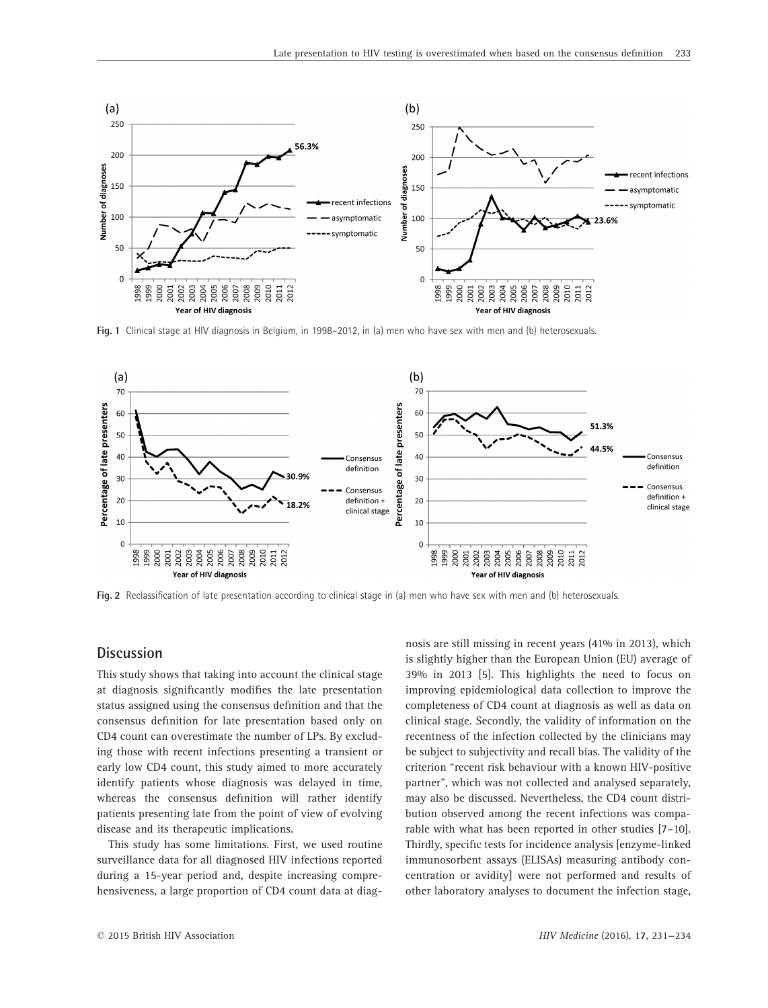

**Fig. 1** Clinical stage at HIV diagnosis in Belgium, in 1998–2012, in (a) men who have sex with men and (b) heterosexuals.



**Fig. 2** Reclassification of late presentation according to clinical stage in (a) men who have sex with men and (b) heterosexuals.

# **Discussion**

This study shows that taking into account the clinical stage at diagnosis significantly modifies the late presentation status assigned using the consensus definition and that the consensus definition for late presentation based only on CD4 count can overestimate the number of LPs. By excluding those with recent infections presenting a transient or early low CD4 count, this study aimed to more accurately identify patients whose diagnosis was delayed in time, whereas the consensus definition will rather identify patients presenting late from the point of view of evolving disease and its therapeutic implications.

This study has some limitations. First, we used routine surveillance data for all diagnosed HIV infections reported during a 15-year period and, despite increasing comprehensiveness, a large proportion of CD4 count data at diag-

nosis are still missing in recent years (41% in 2013), which is slightly higher than the European Union (EU) average of 39% in 2013 [5]. This highlights the need to focus on improving epidemiological data collection to improve the completeness of CD4 count at diagnosis as well as data on clinical stage. Secondly, the validity of information on the recentness of the infection collected by the clinicians may be subject to subjectivity and recall bias. The validity of the criterion "recent risk behaviour with a known HIV-positive partner", which was not collected and analysed separately, may also be discussed. Nevertheless, the CD4 count distribution observed among the recent infections was comparable with what has been reported in other studies [7–10]. Thirdly, specific tests for incidence analysis [enzyme-linked immunosorbent assays (ELISAs) measuring antibody concentration or avidity] were not performed and results of other laboratory analyses to document the infection stage,